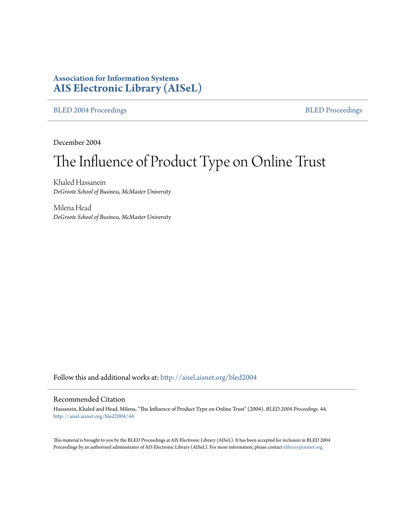#### **Association for Information Systems [AIS Electronic Library \(AISeL\)](http://aisel.aisnet.org?utm_source=aisel.aisnet.org%2Fbled2004%2F44&utm_medium=PDF&utm_campaign=PDFCoverPages)**

[BLED 2004 Proceedings](http://aisel.aisnet.org/bled2004?utm_source=aisel.aisnet.org%2Fbled2004%2F44&utm_medium=PDF&utm_campaign=PDFCoverPages) **[BLED Proceedings](http://aisel.aisnet.org/bled?utm_source=aisel.aisnet.org%2Fbled2004%2F44&utm_medium=PDF&utm_campaign=PDFCoverPages)** 

December 2004

# The Influence of Product Type on Online Trust

Khaled Hassanein *DeGroote School of Business, McMaster University*

Milena Head *DeGroote School of Business, McMaster University*

Follow this and additional works at: [http://aisel.aisnet.org/bled2004](http://aisel.aisnet.org/bled2004?utm_source=aisel.aisnet.org%2Fbled2004%2F44&utm_medium=PDF&utm_campaign=PDFCoverPages)

#### Recommended Citation

Hassanein, Khaled and Head, Milena, "The Influence of Product Type on Online Trust" (2004). *BLED 2004 Proceedings*. 44. [http://aisel.aisnet.org/bled2004/44](http://aisel.aisnet.org/bled2004/44?utm_source=aisel.aisnet.org%2Fbled2004%2F44&utm_medium=PDF&utm_campaign=PDFCoverPages)

This material is brought to you by the BLED Proceedings at AIS Electronic Library (AISeL). It has been accepted for inclusion in BLED 2004 Proceedings by an authorized administrator of AIS Electronic Library (AISeL). For more information, please contact [elibrary@aisnet.org](mailto:elibrary@aisnet.org%3E).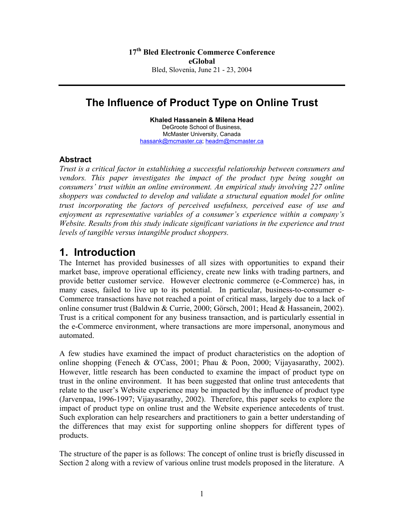# **The Influence of Product Type on Online Trust**

**Khaled Hassanein & Milena Head** DeGroote School of Business, McMaster University, Canada [hassank@mcmaster.ca;](mailto:hassank@mcmaster.ca) [headm@mcmaster.ca](mailto:headm@mcmaster.ca)

#### **Abstract**

*Trust is a critical factor in establishing a successful relationship between consumers and vendors. This paper investigates the impact of the product type being sought on consumers' trust within an online environment. An empirical study involving 227 online shoppers was conducted to develop and validate a structural equation model for online trust incorporating the factors of perceived usefulness, perceived ease of use and enjoyment as representative variables of a consumer's experience within a company's Website. Results from this study indicate significant variations in the experience and trust levels of tangible versus intangible product shoppers.* 

## **1. Introduction**

The Internet has provided businesses of all sizes with opportunities to expand their market base, improve operational efficiency, create new links with trading partners, and provide better customer service. However electronic commerce (e-Commerce) has, in many cases, failed to live up to its potential. In particular, business-to-consumer e-Commerce transactions have not reached a point of critical mass, largely due to a lack of online consumer trust (Baldwin & Currie, 2000; Görsch, 2001; Head & Hassanein, 2002). Trust is a critical component for any business transaction, and is particularly essential in the e-Commerce environment, where transactions are more impersonal, anonymous and automated.

A few studies have examined the impact of product characteristics on the adoption of online shopping (Fenech & O'Cass, 2001; Phau & Poon, 2000; Vijayasarathy, 2002). However, little research has been conducted to examine the impact of product type on trust in the online environment. It has been suggested that online trust antecedents that relate to the user's Website experience may be impacted by the influence of product type (Jarvenpaa, 1996-1997; Vijayasarathy, 2002). Therefore, this paper seeks to explore the impact of product type on online trust and the Website experience antecedents of trust. Such exploration can help researchers and practitioners to gain a better understanding of the differences that may exist for supporting online shoppers for different types of products.

The structure of the paper is as follows: The concept of online trust is briefly discussed in Section 2 along with a review of various online trust models proposed in the literature. A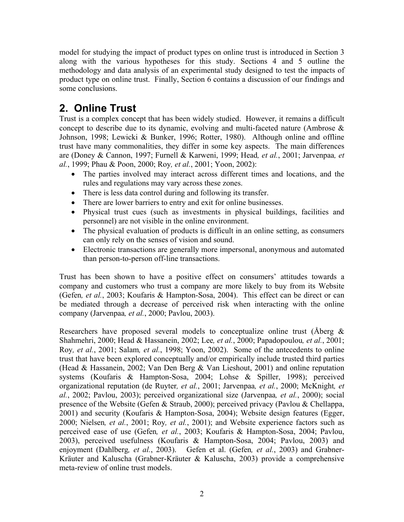model for studying the impact of product types on online trust is introduced in Section 3 along with the various hypotheses for this study. Sections 4 and 5 outline the methodology and data analysis of an experimental study designed to test the impacts of product type on online trust. Finally, Section 6 contains a discussion of our findings and some conclusions.

# **2. Online Trust**

Trust is a complex concept that has been widely studied. However, it remains a difficult concept to describe due to its dynamic, evolving and multi-faceted nature (Ambrose & Johnson, 1998; Lewicki & Bunker, 1996; Rotter, 1980). Although online and offline trust have many commonalities, they differ in some key aspects. The main differences are (Doney & Cannon, 1997; Furnell & Karweni, 1999; Head*, et al.*, 2001; Jarvenpaa*, et al.*, 1999; Phau & Poon, 2000; Roy*, et al.*, 2001; Yoon, 2002):

- The parties involved may interact across different times and locations, and the rules and regulations may vary across these zones.
- There is less data control during and following its transfer.
- There are lower barriers to entry and exit for online businesses.
- Physical trust cues (such as investments in physical buildings, facilities and personnel) are not visible in the online environment.
- The physical evaluation of products is difficult in an online setting, as consumers can only rely on the senses of vision and sound.
- Electronic transactions are generally more impersonal, anonymous and automated than person-to-person off-line transactions.

Trust has been shown to have a positive effect on consumers' attitudes towards a company and customers who trust a company are more likely to buy from its Website (Gefen*, et al.*, 2003; Koufaris & Hampton-Sosa, 2004). This effect can be direct or can be mediated through a decrease of perceived risk when interacting with the online company (Jarvenpaa*, et al.*, 2000; Pavlou, 2003).

Researchers have proposed several models to conceptualize online trust ( $\AA$ berg  $\&$ Shahmehri, 2000; Head & Hassanein, 2002; Lee*, et al.*, 2000; Papadopoulou*, et al.*, 2001; Roy*, et al.*, 2001; Salam*, et al.*, 1998; Yoon, 2002). Some of the antecedents to online trust that have been explored conceptually and/or empirically include trusted third parties (Head & Hassanein, 2002; Van Den Berg & Van Lieshout, 2001) and online reputation systems (Koufaris & Hampton-Sosa, 2004; Lohse & Spiller, 1998); perceived organizational reputation (de Ruyter*, et al.*, 2001; Jarvenpaa*, et al.*, 2000; McKnight*, et al.*, 2002; Pavlou, 2003); perceived organizational size (Jarvenpaa*, et al.*, 2000); social presence of the Website (Gefen & Straub, 2000); perceived privacy (Pavlou & Chellappa, 2001) and security (Koufaris & Hampton-Sosa, 2004); Website design features (Egger, 2000; Nielsen*, et al.*, 2001; Roy*, et al.*, 2001); and Website experience factors such as perceived ease of use (Gefen*, et al.*, 2003; Koufaris & Hampton-Sosa, 2004; Pavlou, 2003), perceived usefulness (Koufaris & Hampton-Sosa, 2004; Pavlou, 2003) and enjoyment (Dahlberg*, et al.*, 2003). Gefen et al. (Gefen*, et al.*, 2003) and Grabner-Kräuter and Kaluscha (Grabner-Kräuter & Kaluscha, 2003) provide a comprehensive meta-review of online trust models.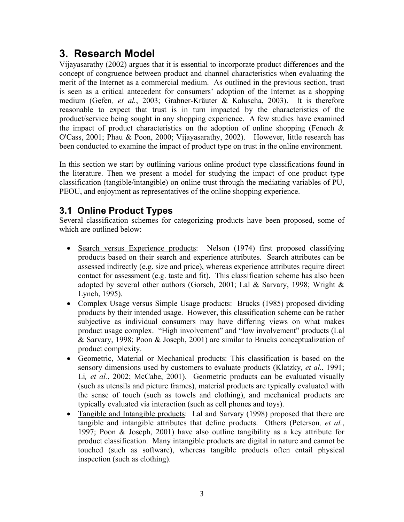# **3. Research Model**

Vijayasarathy (2002) argues that it is essential to incorporate product differences and the concept of congruence between product and channel characteristics when evaluating the merit of the Internet as a commercial medium. As outlined in the previous section, trust is seen as a critical antecedent for consumers' adoption of the Internet as a shopping medium (Gefen*, et al.*, 2003; Grabner-Kräuter & Kaluscha, 2003). It is therefore reasonable to expect that trust is in turn impacted by the characteristics of the product/service being sought in any shopping experience. A few studies have examined the impact of product characteristics on the adoption of online shopping (Fenech  $\&$ O'Cass, 2001; Phau & Poon, 2000; Vijayasarathy, 2002). However, little research has been conducted to examine the impact of product type on trust in the online environment.

In this section we start by outlining various online product type classifications found in the literature. Then we present a model for studying the impact of one product type classification (tangible/intangible) on online trust through the mediating variables of PU, PEOU, and enjoyment as representatives of the online shopping experience.

### **3.1 Online Product Types**

Several classification schemes for categorizing products have been proposed, some of which are outlined below:

- Search versus Experience products: Nelson (1974) first proposed classifying products based on their search and experience attributes. Search attributes can be assessed indirectly (e.g. size and price), whereas experience attributes require direct contact for assessment (e.g. taste and fit). This classification scheme has also been adopted by several other authors (Gorsch, 2001; Lal & Sarvary, 1998; Wright & Lynch, 1995).  $\bullet$
- Complex Usage versus Simple Usage products: Brucks (1985) proposed dividing products by their intended usage. However, this classification scheme can be rather subjective as individual consumers may have differing views on what makes product usage complex. "High involvement" and "low involvement" products (Lal & Sarvary, 1998; Poon & Joseph, 2001) are similar to Brucks conceptualization of product complexity. •
- Geometric, Material or Mechanical products: This classification is based on the sensory dimensions used by customers to evaluate products (Klatzky*, et al.*, 1991; Li*, et al.*, 2002; McCabe, 2001). Geometric products can be evaluated visually (such as utensils and picture frames), material products are typically evaluated with the sense of touch (such as towels and clothing), and mechanical products are typically evaluated via interaction (such as cell phones and toys).
- Tangible and Intangible products: Lal and Sarvary (1998) proposed that there are tangible and intangible attributes that define products. Others (Peterson*, et al.*, 1997; Poon & Joseph, 2001) have also outline tangibility as a key attribute for product classification. Many intangible products are digital in nature and cannot be touched (such as software), whereas tangible products often entail physical inspection (such as clothing).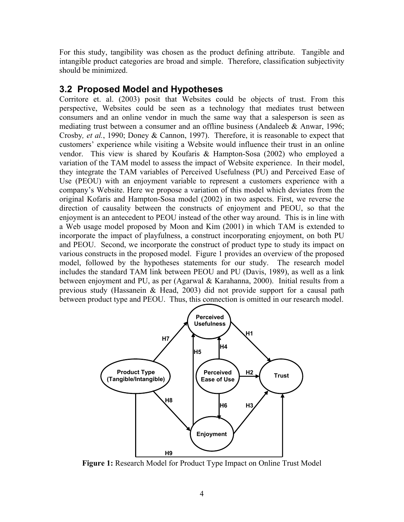For this study, tangibility was chosen as the product defining attribute. Tangible and intangible product categories are broad and simple. Therefore, classification subjectivity should be minimized.

#### **3.2 Proposed Model and Hypotheses**

Corritore et. al. (2003) posit that Websites could be objects of trust. From this perspective, Websites could be seen as a technology that mediates trust between consumers and an online vendor in much the same way that a salesperson is seen as mediating trust between a consumer and an offline business (Andaleeb & Anwar, 1996; Crosby*, et al.*, 1990; Doney & Cannon, 1997). Therefore, it is reasonable to expect that customers' experience while visiting a Website would influence their trust in an online vendor. This view is shared by Koufaris & Hampton-Sosa (2002) who employed a variation of the TAM model to assess the impact of Website experience. In their model, they integrate the TAM variables of Perceived Usefulness (PU) and Perceived Ease of Use (PEOU) with an enjoyment variable to represent a customers experience with a company's Website. Here we propose a variation of this model which deviates from the original Kofaris and Hampton-Sosa model (2002) in two aspects. First, we reverse the direction of causality between the constructs of enjoyment and PEOU, so that the enjoyment is an antecedent to PEOU instead of the other way around. This is in line with a Web usage model proposed by Moon and Kim (2001) in which TAM is extended to incorporate the impact of playfulness, a construct incorporating enjoyment, on both PU and PEOU. Second, we incorporate the construct of product type to study its impact on various constructs in the proposed model. Figure 1 provides an overview of the proposed model, followed by the hypotheses statements for our study. The research model includes the standard TAM link between PEOU and PU (Davis, 1989), as well as a link between enjoyment and PU, as per (Agarwal & Karahanna, 2000). Initial results from a previous study (Hassanein & Head, 2003) did not provide support for a causal path between product type and PEOU. Thus, this connection is omitted in our research model.



**Figure 1:** Research Model for Product Type Impact on Online Trust Model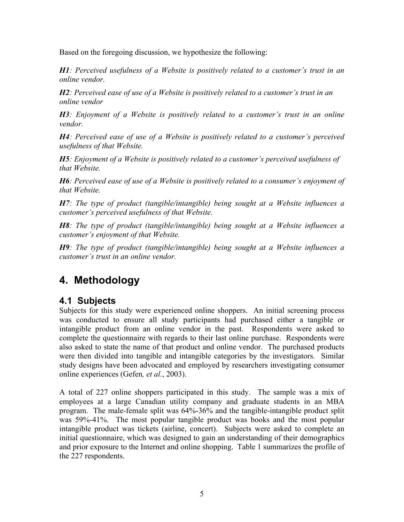Based on the foregoing discussion, we hypothesize the following:

*H1: Perceived usefulness of a Website is positively related to a customer's trust in an online vendor.* 

*H2: Perceived ease of use of a Website is positively related to a customer's trust in an online vendor*

*H3: Enjoyment of a Website is positively related to a customer's trust in an online vendor.* 

*H4: Perceived ease of use of a Website is positively related to a customer's perceived usefulness of that Website.* 

*H5: Enjoyment of a Website is positively related to a customer's perceived usefulness of that Website.* 

*H6: Perceived ease of use of a Website is positively related to a consumer's enjoyment of that Website.* 

*H7: The type of product (tangible/intangible) being sought at a Website influences a customer's perceived usefulness of that Website.* 

*H8: The type of product (tangible/intangible) being sought at a Website influences a customer's enjoyment of that Website.* 

*H9: The type of product (tangible/intangible) being sought at a Website influences a customer's trust in an online vendor.* 

# **4. Methodology**

### **4.1 Subjects**

Subjects for this study were experienced online shoppers. An initial screening process was conducted to ensure all study participants had purchased either a tangible or intangible product from an online vendor in the past. Respondents were asked to complete the questionnaire with regards to their last online purchase. Respondents were also asked to state the name of that product and online vendor. The purchased products were then divided into tangible and intangible categories by the investigators. Similar study designs have been advocated and employed by researchers investigating consumer online experiences (Gefen*, et al.*, 2003).

A total of 227 online shoppers participated in this study. The sample was a mix of employees at a large Canadian utility company and graduate students in an MBA program. The male-female split was 64%-36% and the tangible-intangible product split was 59%-41%. The most popular tangible product was books and the most popular intangible product was tickets (airline, concert). Subjects were asked to complete an initial questionnaire, which was designed to gain an understanding of their demographics and prior exposure to the Internet and online shopping. Table 1 summarizes the profile of the 227 respondents.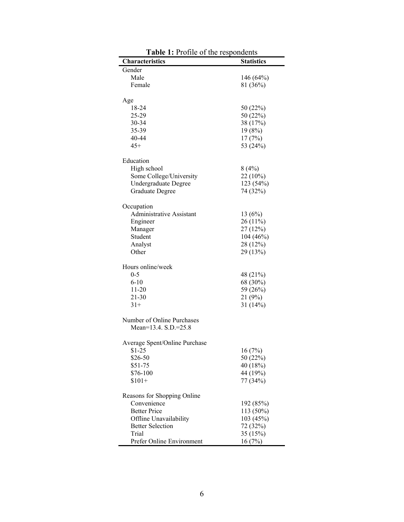| Characteristics                 | <b>Statistics</b> |
|---------------------------------|-------------------|
| Gender                          |                   |
| Male                            | 146 (64%)         |
| Female                          | 81 (36%)          |
|                                 |                   |
| Age                             |                   |
| 18-24                           | 50 (22%)          |
| 25-29                           | 50 (22%)          |
| 30-34                           | 38 (17%)          |
| 35-39                           | 19(8%)            |
| 40-44                           | 17(7%)            |
| $45+$                           | 53 (24%)          |
| Education                       |                   |
| High school                     | 8(4%)             |
| Some College/University         | 22 (10%)          |
| <b>Undergraduate Degree</b>     | 123 (54%)         |
| <b>Graduate Degree</b>          | 74 (32%)          |
|                                 |                   |
| Occupation                      |                   |
| <b>Administrative Assistant</b> | 13(6%)            |
| Engineer                        | 26 (11%)          |
| Manager                         | 27(12%)           |
| Student                         | 104(46%)          |
| Analyst                         | 28 (12%)          |
| Other                           | 29 (13%)          |
| Hours online/week               |                   |
| $0 - 5$                         | 48 (21%)          |
| $6 - 10$                        | 68 (30%)          |
| $11-20$                         | 59 (26%)          |
| $21 - 30$                       | 21 (9%)           |
| $31+$                           | 31(14%)           |
| Number of Online Purchases      |                   |
| Mean=13.4. S.D.=25.8            |                   |
|                                 |                   |
| Average Spent/Online Purchase   |                   |
| $$1-25$                         | 16(7%)            |
| \$26-50                         | 50 (22%)          |
| $$51-75$                        | 40 (18%)          |
| \$76-100                        | 44 (19%)          |
| $$101+$                         | 77 (34%)          |
| Reasons for Shopping Online     |                   |
| Convenience                     | 192 (85%)         |
| <b>Better Price</b>             | 113 (50%)         |
| Offline Unavailability          | 103 (45%)         |
| <b>Better Selection</b>         | 72 (32%)          |
| Trial                           | 35 (15%)          |
| Prefer Online Environment       | 16(7%)            |

**Table 1:** Profile of the respondents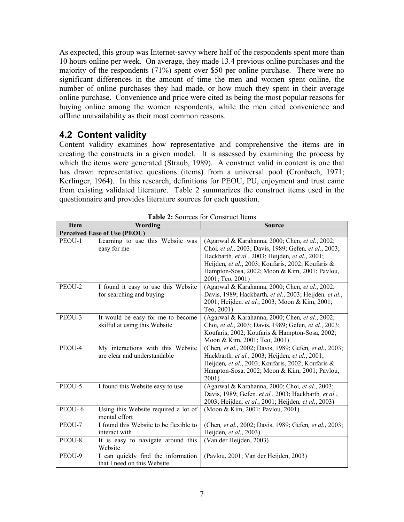As expected, this group was Internet-savvy where half of the respondents spent more than 10 hours online per week. On average, they made 13.4 previous online purchases and the majority of the respondents (71%) spent over \$50 per online purchase. There were no significant differences in the amount of time the men and women spent online, the number of online purchases they had made, or how much they spent in their average online purchase. Convenience and price were cited as being the most popular reasons for buying online among the women respondents, while the men cited convenience and offline unavailability as their most common reasons.

### **4.2 Content validity**

Content validity examines how representative and comprehensive the items are in creating the constructs in a given model. It is assessed by examining the process by which the items were generated (Straub, 1989). A construct valid in content is one that has drawn representative questions (items) from a universal pool (Cronbach, 1971; Kerlinger, 1964). In this research, definitions for PEOU, PU, enjoyment and trust came from existing validated literature. Table 2 summarizes the construct items used in the questionnaire and provides literature sources for each question.

| <b>Item</b>                         | Wording                                                            | <b>Source</b>                                                                                                                                                                                                                                                                         |  |  |
|-------------------------------------|--------------------------------------------------------------------|---------------------------------------------------------------------------------------------------------------------------------------------------------------------------------------------------------------------------------------------------------------------------------------|--|--|
| <b>Perceived Ease of Use (PEOU)</b> |                                                                    |                                                                                                                                                                                                                                                                                       |  |  |
| PEOU-1                              | Learning to use this Website was<br>easy for me                    | (Agarwal & Karahanna, 2000; Chen, et al., 2002;<br>Choi, et al., 2003; Davis, 1989; Gefen, et al., 2003;<br>Hackbarth, et al., 2003; Heijden, et al., 2001;<br>Heijden, et al., 2003; Koufaris, 2002; Koufaris &<br>Hampton-Sosa, 2002; Moon & Kim, 2001; Pavlou,<br>2001; Teo, 2001) |  |  |
| PEOU-2                              | I found it easy to use this Website<br>for searching and buying    | (Agarwal & Karahanna, 2000; Chen, et al., 2002;<br>Davis, 1989; Hackbarth, et al., 2003; Heijden, et al.,<br>2001; Heijden, et al., 2003; Moon & Kim, 2001;<br>Teo, 2001)                                                                                                             |  |  |
| PEOU-3                              | It would be easy for me to become<br>skilful at using this Website | (Agarwal & Karahanna, 2000; Chen, et al., 2002;<br>Choi, et al., 2003; Davis, 1989; Gefen, et al., 2003;<br>Koufaris, 2002; Koufaris & Hampton-Sosa, 2002;<br>Moon & Kim, 2001; Teo, 2001)                                                                                            |  |  |
| PEOU-4                              | My interactions with this Website<br>are clear and understandable  | (Chen, et al., 2002; Davis, 1989; Gefen, et al., 2003;<br>Hackbarth, et al., 2003; Heijden, et al., 2001;<br>Heijden, et al., 2003; Koufaris, 2002; Koufaris &<br>Hampton-Sosa, 2002; Moon & Kim, 2001; Pavlou,<br>2001)                                                              |  |  |
| PEOU-5                              | I found this Website easy to use                                   | (Agarwal & Karahanna, 2000; Choi, et al., 2003;<br>Davis, 1989; Gefen, et al., 2003; Hackbarth, et al.,<br>2003; Heijden, et al., 2001; Heijden, et al., 2003)                                                                                                                        |  |  |
| PEOU-6                              | Using this Website required a lot of<br>mental effort              | (Moon & Kim, 2001; Pavlou, 2001)                                                                                                                                                                                                                                                      |  |  |
| PEOU-7                              | I found this Website to be flexible to<br>interact with            | (Chen, et al., 2002; Davis, 1989; Gefen, et al., 2003;<br>Heijden, et al., 2003)                                                                                                                                                                                                      |  |  |
| PEOU-8                              | It is easy to navigate around this<br>Website                      | (Van der Heijden, 2003)                                                                                                                                                                                                                                                               |  |  |
| PEOU-9                              | I can quickly find the information<br>that I need on this Website  | (Pavlou, 2001; Van der Heijden, 2003)                                                                                                                                                                                                                                                 |  |  |

**Table 2:** Sources for Construct Items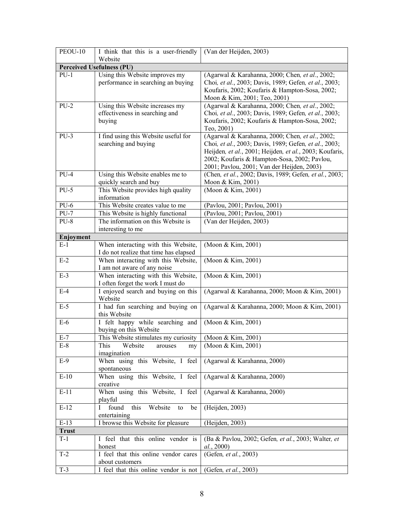| PEOU-10               | I think that this is a user-friendly             | (Van der Heijden, 2003)                                                                                  |  |
|-----------------------|--------------------------------------------------|----------------------------------------------------------------------------------------------------------|--|
|                       | Website                                          |                                                                                                          |  |
|                       | <b>Perceived Usefulness (PU)</b>                 |                                                                                                          |  |
| $PU-1$                | Using this Website improves my                   | (Agarwal & Karahanna, 2000; Chen, et al., 2002;                                                          |  |
|                       | performance in searching an buying               | Choi, et al., 2003; Davis, 1989; Gefen, et al., 2003;                                                    |  |
|                       |                                                  | Koufaris, 2002; Koufaris & Hampton-Sosa, 2002;                                                           |  |
|                       |                                                  | Moon & Kim, 2001; Teo, 2001)                                                                             |  |
| $PU-2$                | Using this Website increases my                  | (Agarwal & Karahanna, 2000; Chen, et al., 2002;<br>Choi, et al., 2003; Davis, 1989; Gefen, et al., 2003; |  |
|                       | effectiveness in searching and<br>buying         | Koufaris, 2002; Koufaris & Hampton-Sosa, 2002;                                                           |  |
|                       |                                                  | Teo, 2001)                                                                                               |  |
| $PU-3$                | I find using this Website useful for             | (Agarwal & Karahanna, 2000; Chen, et al., 2002;                                                          |  |
|                       | searching and buying                             | Choi, et al., 2003; Davis, 1989; Gefen, et al., 2003;                                                    |  |
|                       |                                                  | Heijden, et al., 2001; Heijden, et al., 2003; Koufaris,                                                  |  |
|                       |                                                  | 2002; Koufaris & Hampton-Sosa, 2002; Pavlou,                                                             |  |
|                       |                                                  | 2001; Pavlou, 2001; Van der Heijden, 2003)                                                               |  |
| $PU-4$                | Using this Website enables me to                 | (Chen, et al., 2002; Davis, 1989; Gefen, et al., 2003;                                                   |  |
|                       | quickly search and buy                           | Moon & Kim, 2001)                                                                                        |  |
| $PU-5$                | This Website provides high quality               | (Moon & Kim, 2001)                                                                                       |  |
|                       | information                                      |                                                                                                          |  |
| $PU-6$                | This Website creates value to me                 | (Pavlou, 2001; Pavlou, 2001)                                                                             |  |
| $PU-7$                | This Website is highly functional                | (Pavlou, 2001; Pavlou, 2001)                                                                             |  |
| $PU-8$                | The information on this Website is               | (Van der Heijden, 2003)                                                                                  |  |
| Enjoyment             | interesting to me                                |                                                                                                          |  |
| $E-1$                 | When interacting with this Website,              | (Moon & Kim, 2001)                                                                                       |  |
|                       | I do not realize that time has elapsed           |                                                                                                          |  |
| $E-2$                 | When interacting with this Website,              | (Moon & Kim, 2001)                                                                                       |  |
|                       | I am not aware of any noise                      |                                                                                                          |  |
| $E-3$                 | When interacting with this Website,              | (Moon & Kim, 2001)                                                                                       |  |
|                       | I often forget the work I must do                |                                                                                                          |  |
| $E-4$                 | I enjoyed search and buying on this              | (Agarwal & Karahanna, 2000; Moon & Kim, 2001)                                                            |  |
|                       | Website                                          |                                                                                                          |  |
| $E-5$                 | I had fun searching and buying on                | (Agarwal & Karahanna, 2000; Moon & Kim, 2001)                                                            |  |
| $E-6$                 | this Website<br>I felt happy while searching and | (Moon & Kim, 2001)                                                                                       |  |
|                       | buying on this Website                           |                                                                                                          |  |
| $E-7$                 | This Website stimulates my curiosity             | (Moon & Kim, 2001)                                                                                       |  |
| $E-8$                 | This<br>Website<br>arouses<br>my                 | (Moon & Kim, 2001)                                                                                       |  |
|                       | imagination                                      |                                                                                                          |  |
| $E-9$                 | When using this Website, I feel                  | (Agarwal & Karahanna, 2000)                                                                              |  |
|                       | spontaneous                                      |                                                                                                          |  |
| $E-10$                | When using this Website, I feel                  | (Agarwal & Karahanna, 2000)                                                                              |  |
|                       | creative                                         |                                                                                                          |  |
| $E-11$                | When using this Website, I feel                  | (Agarwal & Karahanna, 2000)                                                                              |  |
|                       | playful                                          |                                                                                                          |  |
| $E-12$                | found<br>Website<br>this<br>$\bf{l}$<br>to<br>be | (Heijden, 2003)                                                                                          |  |
|                       | entertaining                                     |                                                                                                          |  |
| $E-13$                | I browse this Website for pleasure               | (Heijden, 2003)                                                                                          |  |
| <b>Trust</b><br>$T-1$ | I feel that this online vendor is                | (Ba & Pavlou, 2002; Gefen, et al., 2003; Walter, et                                                      |  |
|                       | honest                                           | al., 2000)                                                                                               |  |
| $T-2$                 | I feel that this online vendor cares             | (Gefen, et al., 2003)                                                                                    |  |
|                       | about customers                                  |                                                                                                          |  |
| $T-3$                 | I feel that this online vendor is not            | (Gefen, et al., 2003)                                                                                    |  |
|                       |                                                  |                                                                                                          |  |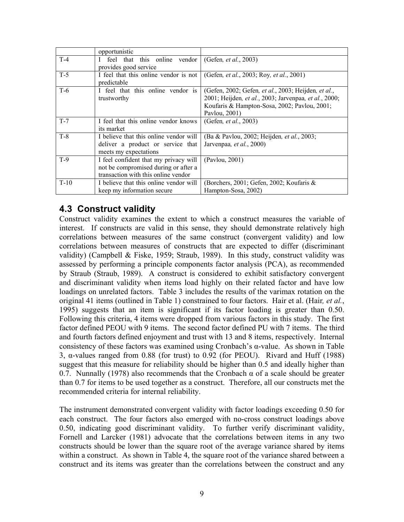|        | opportunistic                          |                                                                     |
|--------|----------------------------------------|---------------------------------------------------------------------|
| $T-4$  | this online vendor<br>feel that        | (Gefen, et al., 2003)                                               |
|        | provides good service                  |                                                                     |
| $T-5$  | I feel that this online vendor is not  | (Gefen, et al., 2003; Roy, et al., 2001)                            |
|        | predictable                            |                                                                     |
| $T-6$  | I feel that this online vendor is      | (Gefen, 2002; Gefen, <i>et al.</i> , 2003; Heijden, <i>et al.</i> , |
|        | trustworthy                            | 2001; Heijden, et al., 2003; Jarvenpaa, et al., 2000;               |
|        |                                        | Koufaris & Hampton-Sosa, 2002; Pavlou, 2001;                        |
|        |                                        | Pavlou, 2001)                                                       |
| $T-7$  | I feel that this online vendor knows   | (Gefen, et al., 2003)                                               |
|        | its market                             |                                                                     |
| $T-8$  | I believe that this online vendor will | (Ba & Pavlou, 2002; Heijden, et al., 2003;                          |
|        | deliver a product or service that      | Jarvenpaa, et al., 2000)                                            |
|        | meets my expectations                  |                                                                     |
| $T-9$  | I feel confident that my privacy will  | (Pavlou, 2001)                                                      |
|        | not be compromised during or after a   |                                                                     |
|        | transaction with this online vendor    |                                                                     |
| $T-10$ | I believe that this online vendor will | (Borchers, 2001; Gefen, 2002; Koufaris &                            |
|        | keep my information secure             | Hampton-Sosa, 2002)                                                 |

### **4.3 Construct validity**

Construct validity examines the extent to which a construct measures the variable of interest. If constructs are valid in this sense, they should demonstrate relatively high correlations between measures of the same construct (convergent validity) and low correlations between measures of constructs that are expected to differ (discriminant validity) (Campbell & Fiske, 1959; Straub, 1989). In this study, construct validity was assessed by performing a principle components factor analysis (PCA), as recommended by Straub (Straub, 1989). A construct is considered to exhibit satisfactory convergent and discriminant validity when items load highly on their related factor and have low loadings on unrelated factors. Table 3 includes the results of the varimax rotation on the original 41 items (outlined in Table 1) constrained to four factors. Hair et al. (Hair*, et al.*, 1995) suggests that an item is significant if its factor loading is greater than 0.50. Following this criteria, 4 items were dropped from various factors in this study. The first factor defined PEOU with 9 items. The second factor defined PU with 7 items. The third and fourth factors defined enjoyment and trust with 13 and 8 items, respectively. Internal consistency of these factors was examined using Cronbach's α-value. As shown in Table 3, α-values ranged from 0.88 (for trust) to 0.92 (for PEOU). Rivard and Huff (1988) suggest that this measure for reliability should be higher than 0.5 and ideally higher than 0.7. Nunnally (1978) also recommends that the Cronbach  $\alpha$  of a scale should be greater than 0.7 for items to be used together as a construct. Therefore, all our constructs met the recommended criteria for internal reliability.

The instrument demonstrated convergent validity with factor loadings exceeding 0.50 for each construct. The four factors also emerged with no-cross construct loadings above 0.50, indicating good discriminant validity. To further verify discriminant validity, Fornell and Larcker (1981) advocate that the correlations between items in any two constructs should be lower than the square root of the average variance shared by items within a construct. As shown in Table 4, the square root of the variance shared between a construct and its items was greater than the correlations between the construct and any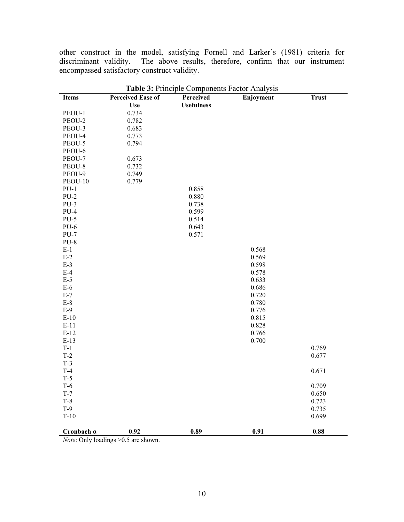other construct in the model, satisfying Fornell and Larker's (1981) criteria for discriminant validity. The above results, therefore, confirm that our instrument encompassed satisfactory construct validity.

|                   |                                        | <b>rative 3.</b> Fine pre-Components Factor Anarysis |           |              |
|-------------------|----------------------------------------|------------------------------------------------------|-----------|--------------|
| <b>Items</b>      | <b>Perceived Ease of</b><br><b>Use</b> | Perceived<br><b>Usefulness</b>                       | Enjoyment | <b>Trust</b> |
| PEOU-1            | 0.734                                  |                                                      |           |              |
| PEOU-2            | 0.782                                  |                                                      |           |              |
| PEOU-3            | 0.683                                  |                                                      |           |              |
|                   |                                        |                                                      |           |              |
| PEOU-4            | 0.773                                  |                                                      |           |              |
| PEOU-5            | 0.794                                  |                                                      |           |              |
| PEOU-6            |                                        |                                                      |           |              |
| PEOU-7            | 0.673                                  |                                                      |           |              |
| PEOU-8            | 0.732                                  |                                                      |           |              |
| PEOU-9            | 0.749                                  |                                                      |           |              |
| PEOU-10           | 0.779                                  |                                                      |           |              |
| $PU-1$            |                                        | 0.858                                                |           |              |
| $PU-2$            |                                        | 0.880                                                |           |              |
| $PU-3$            |                                        | 0.738                                                |           |              |
| $PU-4$            |                                        | 0.599                                                |           |              |
| $PU-5$            |                                        | 0.514                                                |           |              |
| $PU-6$            |                                        | 0.643                                                |           |              |
| $PU-7$            |                                        | 0.571                                                |           |              |
| $PU-8$            |                                        |                                                      |           |              |
| $E-1$             |                                        |                                                      | 0.568     |              |
| $E-2$             |                                        |                                                      | 0.569     |              |
| $E-3$             |                                        |                                                      | 0.598     |              |
| $E-4$             |                                        |                                                      | 0.578     |              |
| $E-5$             |                                        |                                                      | 0.633     |              |
| $E-6$             |                                        |                                                      | 0.686     |              |
| $E-7$             |                                        |                                                      | 0.720     |              |
| $E-8$             |                                        |                                                      | 0.780     |              |
| $E-9$             |                                        |                                                      | 0.776     |              |
| $E-10$            |                                        |                                                      | 0.815     |              |
| $E-11$            |                                        |                                                      | 0.828     |              |
| $E-12$            |                                        |                                                      | 0.766     |              |
| $E-13$            |                                        |                                                      | 0.700     |              |
| $T-1$             |                                        |                                                      |           | 0.769        |
| $T-2$             |                                        |                                                      |           | 0.677        |
| $T-3$             |                                        |                                                      |           |              |
|                   |                                        |                                                      |           |              |
| $T-4$             |                                        |                                                      |           | 0.671        |
| $T-5$             |                                        |                                                      |           |              |
| $T-6$             |                                        |                                                      |           | 0.709        |
| $T-7$             |                                        |                                                      |           | 0.650        |
| $T-8$             |                                        |                                                      |           | 0.723        |
| $T-9$             |                                        |                                                      |           | 0.735        |
| $T-10$            |                                        |                                                      |           | 0.699        |
| Cronbach $\alpha$ | $0.92\,$                               | 0.89                                                 | 0.91      | 0.88         |

**Table 3:** Principle Components Factor Analysis

*Note*: Only loadings > 0.5 are shown.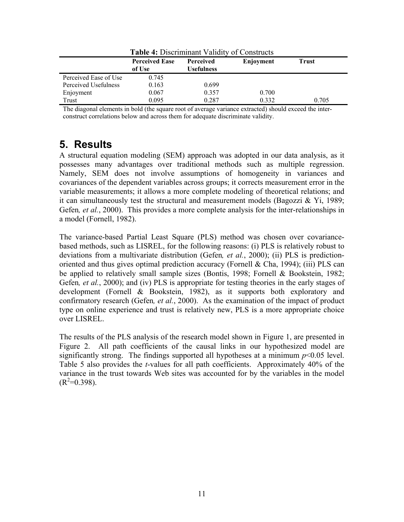| <b>Table 4: Discriminant Validity of Constructs</b> |                                 |                                       |           |              |
|-----------------------------------------------------|---------------------------------|---------------------------------------|-----------|--------------|
|                                                     | <b>Perceived Ease</b><br>of Use | <b>Perceived</b><br><b>Usefulness</b> | Enjoyment | <b>Trust</b> |
| Perceived Ease of Use                               | 0.745                           |                                       |           |              |
| Perceived Usefulness                                | 0.163                           | 0.699                                 |           |              |
| Enjoyment                                           | 0.067                           | 0.357                                 | 0.700     |              |
| Trust                                               | 0.095                           | 0.287                                 | 0.332     | 0.705        |

The diagonal elements in bold (the square root of average variance extracted) should exceed the interconstruct correlations below and across them for adequate discriminate validity.

# **5. Results**

A structural equation modeling (SEM) approach was adopted in our data analysis, as it possesses many advantages over traditional methods such as multiple regression. Namely, SEM does not involve assumptions of homogeneity in variances and covariances of the dependent variables across groups; it corrects measurement error in the variable measurements; it allows a more complete modeling of theoretical relations; and it can simultaneously test the structural and measurement models (Bagozzi  $\&$  Yi, 1989; Gefen*, et al.*, 2000). This provides a more complete analysis for the inter-relationships in a model (Fornell, 1982).

The variance-based Partial Least Square (PLS) method was chosen over covariancebased methods, such as LISREL, for the following reasons: (i) PLS is relatively robust to deviations from a multivariate distribution (Gefen*, et al.*, 2000); (ii) PLS is predictionoriented and thus gives optimal prediction accuracy (Fornell & Cha, 1994); (iii) PLS can be applied to relatively small sample sizes (Bontis, 1998; Fornell & Bookstein, 1982; Gefen*, et al.*, 2000); and (iv) PLS is appropriate for testing theories in the early stages of development (Fornell & Bookstein, 1982), as it supports both exploratory and confirmatory research (Gefen*, et al.*, 2000). As the examination of the impact of product type on online experience and trust is relatively new, PLS is a more appropriate choice over LISREL.

The results of the PLS analysis of the research model shown in Figure 1, are presented in Figure 2. All path coefficients of the causal links in our hypothesized model are significantly strong. The findings supported all hypotheses at a minimum  $p<0.05$  level. Table 5 also provides the *t*-values for all path coefficients. Approximately 40% of the variance in the trust towards Web sites was accounted for by the variables in the model  $(R^2=0.398)$ .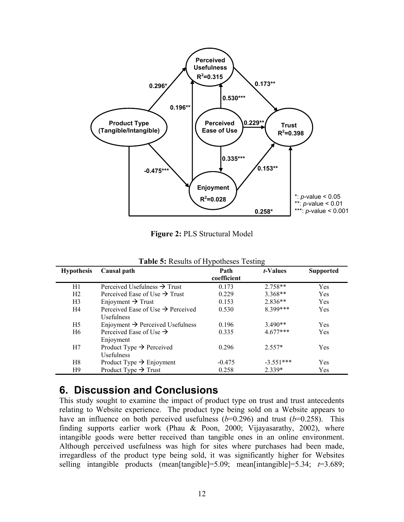

**Figure 2:** PLS Structural Model

| <b>Hypothesis</b> | Causal path                                                        | Path<br>coefficient | <i>t</i> -Values | <b>Supported</b> |
|-------------------|--------------------------------------------------------------------|---------------------|------------------|------------------|
| H1                | Perceived Usefulness $\rightarrow$ Trust                           | 0.173               | $2.758**$        | <b>Yes</b>       |
| H <sub>2</sub>    | Perceived Ease of Use $\rightarrow$ Trust                          | 0.229               | $3.368**$        | Yes              |
| H <sub>3</sub>    | Enjoyment $\rightarrow$ Trust                                      | 0.153               | $2.836**$        | Yes              |
| H4                | Perceived Ease of Use $\rightarrow$ Perceived<br><b>Usefulness</b> | 0.530               | 8 399***         | Yes              |
| H <sub>5</sub>    | Enjoyment $\rightarrow$ Perceived Usefulness                       | 0.196               | $3.490**$        | Yes              |
| H <sub>6</sub>    | Perceived Ease of Use $\rightarrow$<br>Enjoyment                   | 0.335               | $4.677***$       | <b>Yes</b>       |
| H7                | Product Type $\rightarrow$ Perceived<br><b>Usefulness</b>          | 0.296               | $2.557*$         | Yes              |
| H8                | Product Type $\rightarrow$ Enjoyment                               | $-0.475$            | $-3.551***$      | Yes              |
| H9                | Product Type $\rightarrow$ Trust                                   | 0.258               | 2.339*           | Yes              |

**Table 5:** Results of Hypotheses Testing

### **6. Discussion and Conclusions**

This study sought to examine the impact of product type on trust and trust antecedents relating to Website experience. The product type being sold on a Website appears to have an influence on both perceived usefulness  $(b=0.296)$  and trust  $(b=0.258)$ . This finding supports earlier work (Phau & Poon, 2000; Vijayasarathy, 2002), where intangible goods were better received than tangible ones in an online environment. Although perceived usefulness was high for sites where purchases had been made, irregardless of the product type being sold, it was significantly higher for Websites selling intangible products (mean[tangible]=5.09; mean[intangible]=5.34; *t*=3.689;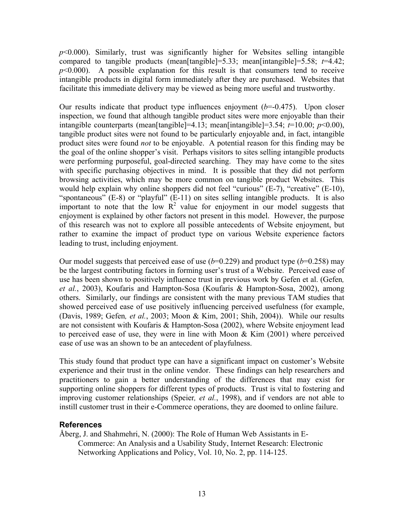*p*<0.000). Similarly, trust was significantly higher for Websites selling intangible compared to tangible products (mean[tangible]=5.33; mean[intangible]=5.58; *t*=4.42;  $p<0.000$ . A possible explanation for this result is that consumers tend to receive intangible products in digital form immediately after they are purchased. Websites that facilitate this immediate delivery may be viewed as being more useful and trustworthy.

Our results indicate that product type influences enjoyment  $(b=0.475)$ . Upon closer inspection, we found that although tangible product sites were more enjoyable than their intangible counterparts (mean[tangible]=4.13; mean[intangible]=3.54;  $t=10.00$ ;  $p<0.00$ ), tangible product sites were not found to be particularly enjoyable and, in fact, intangible product sites were found *not* to be enjoyable. A potential reason for this finding may be the goal of the online shopper's visit. Perhaps visitors to sites selling intangible products were performing purposeful, goal-directed searching. They may have come to the sites with specific purchasing objectives in mind. It is possible that they did not perform browsing activities, which may be more common on tangible product Websites. This would help explain why online shoppers did not feel "curious" (E-7), "creative" (E-10), "spontaneous" (E-8) or "playful" (E-11) on sites selling intangible products. It is also important to note that the low  $R^2$  value for enjoyment in our model suggests that enjoyment is explained by other factors not present in this model. However, the purpose of this research was not to explore all possible antecedents of Website enjoyment, but rather to examine the impact of product type on various Website experience factors leading to trust, including enjoyment.

Our model suggests that perceived ease of use  $(b=0.229)$  and product type  $(b=0.258)$  may be the largest contributing factors in forming user's trust of a Website. Perceived ease of use has been shown to positively influence trust in previous work by Gefen et al. (Gefen*, et al.*, 2003), Koufaris and Hampton-Sosa (Koufaris & Hampton-Sosa, 2002), among others. Similarly, our findings are consistent with the many previous TAM studies that showed perceived ease of use positively influencing perceived usefulness (for example, (Davis, 1989; Gefen*, et al.*, 2003; Moon & Kim, 2001; Shih, 2004)). While our results are not consistent with Koufaris & Hampton-Sosa (2002), where Website enjoyment lead to perceived ease of use, they were in line with Moon & Kim (2001) where perceived ease of use was an shown to be an antecedent of playfulness.

This study found that product type can have a significant impact on customer's Website experience and their trust in the online vendor. These findings can help researchers and practitioners to gain a better understanding of the differences that may exist for supporting online shoppers for different types of products. Trust is vital to fostering and improving customer relationships (Speier*, et al.*, 1998), and if vendors are not able to instill customer trust in their e-Commerce operations, they are doomed to online failure.

#### **References**

Åberg, J. and Shahmehri, N. (2000): The Role of Human Web Assistants in E-Commerce: An Analysis and a Usability Study, Internet Research: Electronic Networking Applications and Policy, Vol. 10, No. 2, pp. 114-125.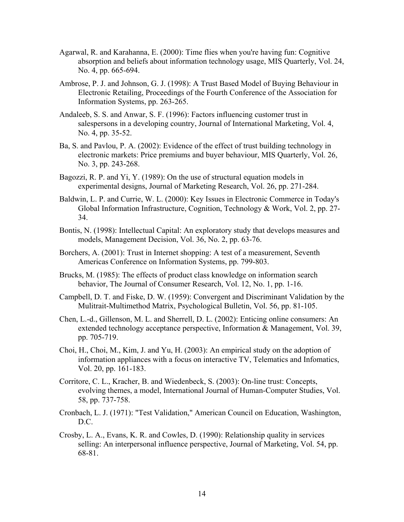- Agarwal, R. and Karahanna, E. (2000): Time flies when you're having fun: Cognitive absorption and beliefs about information technology usage, MIS Quarterly, Vol. 24, No. 4, pp. 665-694.
- Ambrose, P. J. and Johnson, G. J. (1998): A Trust Based Model of Buying Behaviour in Electronic Retailing, Proceedings of the Fourth Conference of the Association for Information Systems, pp. 263-265.
- Andaleeb, S. S. and Anwar, S. F. (1996): Factors influencing customer trust in salespersons in a developing country, Journal of International Marketing, Vol. 4, No. 4, pp. 35-52.
- Ba, S. and Pavlou, P. A. (2002): Evidence of the effect of trust building technology in electronic markets: Price premiums and buyer behaviour, MIS Quarterly, Vol. 26, No. 3, pp. 243-268.
- Bagozzi, R. P. and Yi, Y. (1989): On the use of structural equation models in experimental designs, Journal of Marketing Research, Vol. 26, pp. 271-284.
- Baldwin, L. P. and Currie, W. L. (2000): Key Issues in Electronic Commerce in Today's Global Information Infrastructure, Cognition, Technology & Work, Vol. 2, pp. 27- 34.
- Bontis, N. (1998): Intellectual Capital: An exploratory study that develops measures and models, Management Decision, Vol. 36, No. 2, pp. 63-76.
- Borchers, A. (2001): Trust in Internet shopping: A test of a measurement, Seventh Americas Conference on Information Systems, pp. 799-803.
- Brucks, M. (1985): The effects of product class knowledge on information search behavior, The Journal of Consumer Research, Vol. 12, No. 1, pp. 1-16.
- Campbell, D. T. and Fiske, D. W. (1959): Convergent and Discriminant Validation by the Mulitrait-Multimethod Matrix, Psychological Bulletin, Vol. 56, pp. 81-105.
- Chen, L.-d., Gillenson, M. L. and Sherrell, D. L. (2002): Enticing online consumers: An extended technology acceptance perspective, Information & Management, Vol. 39, pp. 705-719.
- Choi, H., Choi, M., Kim, J. and Yu, H. (2003): An empirical study on the adoption of information appliances with a focus on interactive TV, Telematics and Infomatics, Vol. 20, pp. 161-183.
- Corritore, C. L., Kracher, B. and Wiedenbeck, S. (2003): On-line trust: Concepts, evolving themes, a model, International Journal of Human-Computer Studies, Vol. 58, pp. 737-758.
- Cronbach, L. J. (1971): "Test Validation," American Council on Education, Washington, D.C.
- Crosby, L. A., Evans, K. R. and Cowles, D. (1990): Relationship quality in services selling: An interpersonal influence perspective, Journal of Marketing, Vol. 54, pp. 68-81.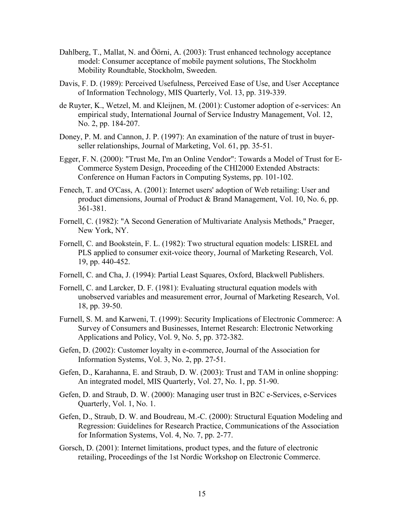- Dahlberg, T., Mallat, N. and Öörni, A. (2003): Trust enhanced technology acceptance model: Consumer acceptance of mobile payment solutions, The Stockholm Mobility Roundtable, Stockholm, Sweeden.
- Davis, F. D. (1989): Perceived Usefulness, Perceived Ease of Use, and User Acceptance of Information Technology, MIS Quarterly, Vol. 13, pp. 319-339.
- de Ruyter, K., Wetzel, M. and Kleijnen, M. (2001): Customer adoption of e-services: An empirical study, International Journal of Service Industry Management, Vol. 12, No. 2, pp. 184-207.
- Doney, P. M. and Cannon, J. P. (1997): An examination of the nature of trust in buyerseller relationships, Journal of Marketing, Vol. 61, pp. 35-51.
- Egger, F. N. (2000): "Trust Me, I'm an Online Vendor": Towards a Model of Trust for E-Commerce System Design, Proceeding of the CHI2000 Extended Abstracts: Conference on Human Factors in Computing Systems, pp. 101-102.
- Fenech, T. and O'Cass, A. (2001): Internet users' adoption of Web retailing: User and product dimensions, Journal of Product & Brand Management, Vol. 10, No. 6, pp. 361-381.
- Fornell, C. (1982): "A Second Generation of Multivariate Analysis Methods," Praeger, New York, NY.
- Fornell, C. and Bookstein, F. L. (1982): Two structural equation models: LISREL and PLS applied to consumer exit-voice theory, Journal of Marketing Research, Vol. 19, pp. 440-452.
- Fornell, C. and Cha, J. (1994): Partial Least Squares, Oxford, Blackwell Publishers.
- Fornell, C. and Larcker, D. F. (1981): Evaluating structural equation models with unobserved variables and measurement error, Journal of Marketing Research, Vol. 18, pp. 39-50.
- Furnell, S. M. and Karweni, T. (1999): Security Implications of Electronic Commerce: A Survey of Consumers and Businesses, Internet Research: Electronic Networking Applications and Policy, Vol. 9, No. 5, pp. 372-382.
- Gefen, D. (2002): Customer loyalty in e-commerce, Journal of the Association for Information Systems, Vol. 3, No. 2, pp. 27-51.
- Gefen, D., Karahanna, E. and Straub, D. W. (2003): Trust and TAM in online shopping: An integrated model, MIS Quarterly, Vol. 27, No. 1, pp. 51-90.
- Gefen, D. and Straub, D. W. (2000): Managing user trust in B2C e-Services, e-Services Quarterly, Vol. 1, No. 1.
- Gefen, D., Straub, D. W. and Boudreau, M.-C. (2000): Structural Equation Modeling and Regression: Guidelines for Research Practice, Communications of the Association for Information Systems, Vol. 4, No. 7, pp. 2-77.
- Gorsch, D. (2001): Internet limitations, product types, and the future of electronic retailing, Proceedings of the 1st Nordic Workshop on Electronic Commerce.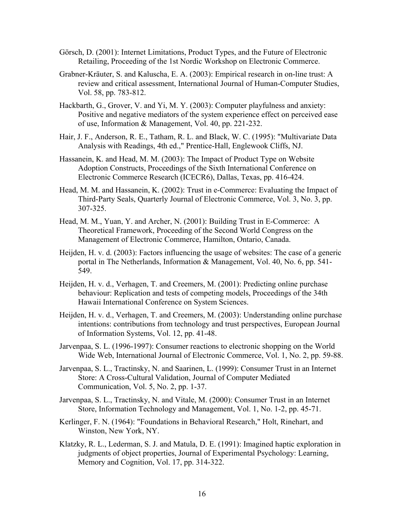- Görsch, D. (2001): Internet Limitations, Product Types, and the Future of Electronic Retailing, Proceeding of the 1st Nordic Workshop on Electronic Commerce.
- Grabner-Kräuter, S. and Kaluscha, E. A. (2003): Empirical research in on-line trust: A review and critical assessment, International Journal of Human-Computer Studies, Vol. 58, pp. 783-812.
- Hackbarth, G., Grover, V. and Yi, M. Y. (2003): Computer playfulness and anxiety: Positive and negative mediators of the system experience effect on perceived ease of use, Information & Management, Vol. 40, pp. 221-232.
- Hair, J. F., Anderson, R. E., Tatham, R. L. and Black, W. C. (1995): "Multivariate Data Analysis with Readings, 4th ed.," Prentice-Hall, Englewook Cliffs, NJ.
- Hassanein, K. and Head, M. M. (2003): The Impact of Product Type on Website Adoption Constructs, Proceedings of the Sixth International Conference on Electronic Commerce Research (ICECR6), Dallas, Texas, pp. 416-424.
- Head, M. M. and Hassanein, K. (2002): Trust in e-Commerce: Evaluating the Impact of Third-Party Seals, Quarterly Journal of Electronic Commerce, Vol. 3, No. 3, pp. 307-325.
- Head, M. M., Yuan, Y. and Archer, N. (2001): Building Trust in E-Commerce: A Theoretical Framework, Proceeding of the Second World Congress on the Management of Electronic Commerce, Hamilton, Ontario, Canada.
- Heijden, H. v. d. (2003): Factors influencing the usage of websites: The case of a generic portal in The Netherlands, Information & Management, Vol. 40, No. 6, pp. 541- 549.
- Heijden, H. v. d., Verhagen, T. and Creemers, M. (2001): Predicting online purchase behaviour: Replication and tests of competing models, Proceedings of the 34th Hawaii International Conference on System Sciences.
- Heijden, H. v. d., Verhagen, T. and Creemers, M. (2003): Understanding online purchase intentions: contributions from technology and trust perspectives, European Journal of Information Systems, Vol. 12, pp. 41-48.
- Jarvenpaa, S. L. (1996-1997): Consumer reactions to electronic shopping on the World Wide Web, International Journal of Electronic Commerce, Vol. 1, No. 2, pp. 59-88.
- Jarvenpaa, S. L., Tractinsky, N. and Saarinen, L. (1999): Consumer Trust in an Internet Store: A Cross-Cultural Validation, Journal of Computer Mediated Communication, Vol. 5, No. 2, pp. 1-37.
- Jarvenpaa, S. L., Tractinsky, N. and Vitale, M. (2000): Consumer Trust in an Internet Store, Information Technology and Management, Vol. 1, No. 1-2, pp. 45-71.
- Kerlinger, F. N. (1964): "Foundations in Behavioral Research," Holt, Rinehart, and Winston, New York, NY.
- Klatzky, R. L., Lederman, S. J. and Matula, D. E. (1991): Imagined haptic exploration in judgments of object properties, Journal of Experimental Psychology: Learning, Memory and Cognition, Vol. 17, pp. 314-322.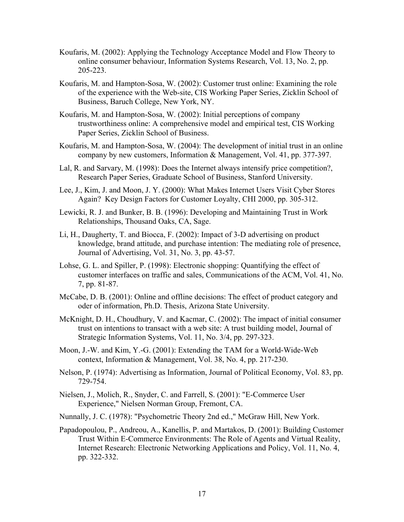- Koufaris, M. (2002): Applying the Technology Acceptance Model and Flow Theory to online consumer behaviour, Information Systems Research, Vol. 13, No. 2, pp. 205-223.
- Koufaris, M. and Hampton-Sosa, W. (2002): Customer trust online: Examining the role of the experience with the Web-site, CIS Working Paper Series, Zicklin School of Business, Baruch College, New York, NY.
- Koufaris, M. and Hampton-Sosa, W. (2002): Initial perceptions of company trustworthiness online: A comprehensive model and empirical test, CIS Working Paper Series, Zicklin School of Business.
- Koufaris, M. and Hampton-Sosa, W. (2004): The development of initial trust in an online company by new customers, Information & Management, Vol. 41, pp. 377-397.
- Lal, R. and Sarvary, M. (1998): Does the Internet always intensify price competition?, Research Paper Series, Graduate School of Business, Stanford University.
- Lee, J., Kim, J. and Moon, J. Y. (2000): What Makes Internet Users Visit Cyber Stores Again? Key Design Factors for Customer Loyalty, CHI 2000, pp. 305-312.
- Lewicki, R. J. and Bunker, B. B. (1996): Developing and Maintaining Trust in Work Relationships, Thousand Oaks, CA, Sage.
- Li, H., Daugherty, T. and Biocca, F. (2002): Impact of 3-D advertising on product knowledge, brand attitude, and purchase intention: The mediating role of presence, Journal of Advertising, Vol. 31, No. 3, pp. 43-57.
- Lohse, G. L. and Spiller, P. (1998): Electronic shopping: Quantifying the effect of customer interfaces on traffic and sales, Communications of the ACM, Vol. 41, No. 7, pp. 81-87.
- McCabe, D. B. (2001): Online and offline decisions: The effect of product category and oder of information, Ph.D. Thesis, Arizona State University.
- McKnight, D. H., Choudhury, V. and Kacmar, C. (2002): The impact of initial consumer trust on intentions to transact with a web site: A trust building model, Journal of Strategic Information Systems, Vol. 11, No. 3/4, pp. 297-323.
- Moon, J.-W. and Kim, Y.-G. (2001): Extending the TAM for a World-Wide-Web context, Information & Management, Vol. 38, No. 4, pp. 217-230.
- Nelson, P. (1974): Advertising as Information, Journal of Political Economy, Vol. 83, pp. 729-754.
- Nielsen, J., Molich, R., Snyder, C. and Farrell, S. (2001): "E-Commerce User Experience," Nielsen Norman Group, Fremont, CA.
- Nunnally, J. C. (1978): "Psychometric Theory 2nd ed.," McGraw Hill, New York.
- Papadopoulou, P., Andreou, A., Kanellis, P. and Martakos, D. (2001): Building Customer Trust Within E-Commerce Environments: The Role of Agents and Virtual Reality, Internet Research: Electronic Networking Applications and Policy, Vol. 11, No. 4, pp. 322-332.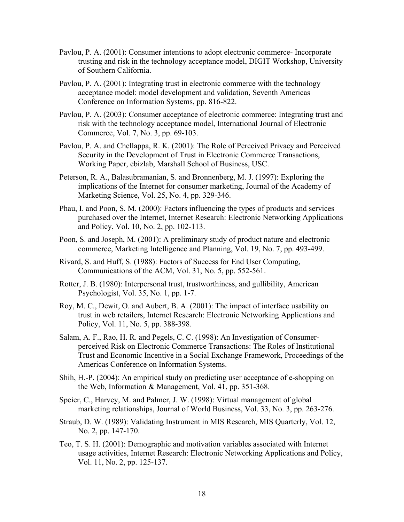- Pavlou, P. A. (2001): Consumer intentions to adopt electronic commerce- Incorporate trusting and risk in the technology acceptance model, DIGIT Workshop, University of Southern California.
- Pavlou, P. A. (2001): Integrating trust in electronic commerce with the technology acceptance model: model development and validation, Seventh Americas Conference on Information Systems, pp. 816-822.
- Pavlou, P. A. (2003): Consumer acceptance of electronic commerce: Integrating trust and risk with the technology acceptance model, International Journal of Electronic Commerce, Vol. 7, No. 3, pp. 69-103.
- Pavlou, P. A. and Chellappa, R. K. (2001): The Role of Perceived Privacy and Perceived Security in the Development of Trust in Electronic Commerce Transactions, Working Paper, ebizlab, Marshall School of Business, USC.
- Peterson, R. A., Balasubramanian, S. and Bronnenberg, M. J. (1997): Exploring the implications of the Internet for consumer marketing, Journal of the Academy of Marketing Science, Vol. 25, No. 4, pp. 329-346.
- Phau, I. and Poon, S. M. (2000): Factors influencing the types of products and services purchased over the Internet, Internet Research: Electronic Networking Applications and Policy, Vol. 10, No. 2, pp. 102-113.
- Poon, S. and Joseph, M. (2001): A preliminary study of product nature and electronic commerce, Marketing Intelligence and Planning, Vol. 19, No. 7, pp. 493-499.
- Rivard, S. and Huff, S. (1988): Factors of Success for End User Computing, Communications of the ACM, Vol. 31, No. 5, pp. 552-561.
- Rotter, J. B. (1980): Interpersonal trust, trustworthiness, and gullibility, American Psychologist, Vol. 35, No. 1, pp. 1-7.
- Roy, M. C., Dewit, O. and Aubert, B. A. (2001): The impact of interface usability on trust in web retailers, Internet Research: Electronic Networking Applications and Policy, Vol. 11, No. 5, pp. 388-398.
- Salam, A. F., Rao, H. R. and Pegels, C. C. (1998): An Investigation of Consumerperceived Risk on Electronic Commerce Transactions: The Roles of Institutional Trust and Economic Incentive in a Social Exchange Framework, Proceedings of the Americas Conference on Information Systems.
- Shih, H.-P. (2004): An empirical study on predicting user acceptance of e-shopping on the Web, Information & Management, Vol. 41, pp. 351-368.
- Speier, C., Harvey, M. and Palmer, J. W. (1998): Virtual management of global marketing relationships, Journal of World Business, Vol. 33, No. 3, pp. 263-276.
- Straub, D. W. (1989): Validating Instrument in MIS Research, MIS Quarterly, Vol. 12, No. 2, pp. 147-170.
- Teo, T. S. H. (2001): Demographic and motivation variables associated with Internet usage activities, Internet Research: Electronic Networking Applications and Policy, Vol. 11, No. 2, pp. 125-137.